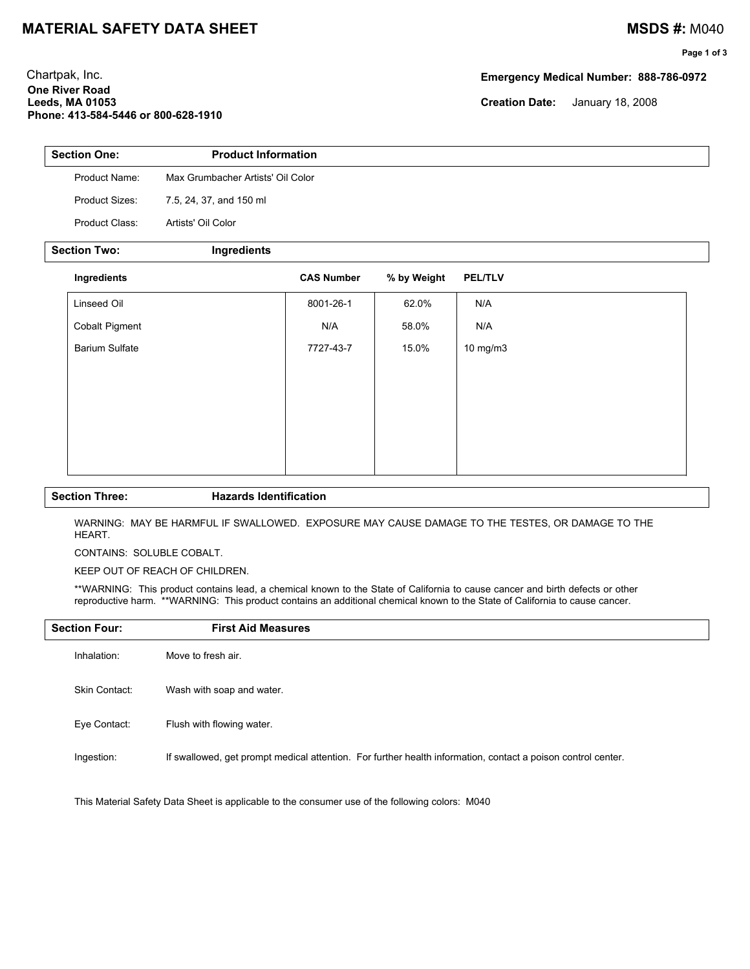## **MATERIAL SAFETY DATA SHEET MATERIAL SAFETY DATA SHEET**

## **Page 1 of 3**

Chartpak, Inc. **Emergency Medical Number: 888-786-0972 One River Road Leeds, MA 01053 Creation Date:** January 18, 2008 **Phone: 413-584-5446 or 800-628-1910**

| <b>Section One:</b>   | <b>Product Information</b>        |                   |             |                |  |
|-----------------------|-----------------------------------|-------------------|-------------|----------------|--|
| Product Name:         | Max Grumbacher Artists' Oil Color |                   |             |                |  |
| Product Sizes:        | 7.5, 24, 37, and 150 ml           |                   |             |                |  |
| Product Class:        | Artists' Oil Color                |                   |             |                |  |
| <b>Section Two:</b>   | Ingredients                       |                   |             |                |  |
| Ingredients           |                                   | <b>CAS Number</b> | % by Weight | <b>PEL/TLV</b> |  |
| Linseed Oil           |                                   | 8001-26-1         | 62.0%       | N/A            |  |
| <b>Cobalt Pigment</b> |                                   | N/A               | 58.0%       | N/A            |  |
| <b>Barium Sulfate</b> |                                   | 7727-43-7         | 15.0%       | 10 mg/m3       |  |
|                       |                                   |                   |             |                |  |
|                       |                                   |                   |             |                |  |

### **Section Three: Hazards Identification**

WARNING: MAY BE HARMFUL IF SWALLOWED. EXPOSURE MAY CAUSE DAMAGE TO THE TESTES, OR DAMAGE TO THE HEART.

CONTAINS: SOLUBLE COBALT.

KEEP OUT OF REACH OF CHILDREN.

\*\*WARNING: This product contains lead, a chemical known to the State of California to cause cancer and birth defects or other reproductive harm. \*\*WARNING: This product contains an additional chemical known to the State of California to cause cancer.

| <b>Section Four:</b> | <b>First Aid Measures</b>                                                                                    |
|----------------------|--------------------------------------------------------------------------------------------------------------|
| Inhalation:          | Move to fresh air.                                                                                           |
| Skin Contact:        | Wash with soap and water.                                                                                    |
| Eye Contact:         | Flush with flowing water.                                                                                    |
| Ingestion:           | If swallowed, get prompt medical attention. For further health information, contact a poison control center. |

This Material Safety Data Sheet is applicable to the consumer use of the following colors: M040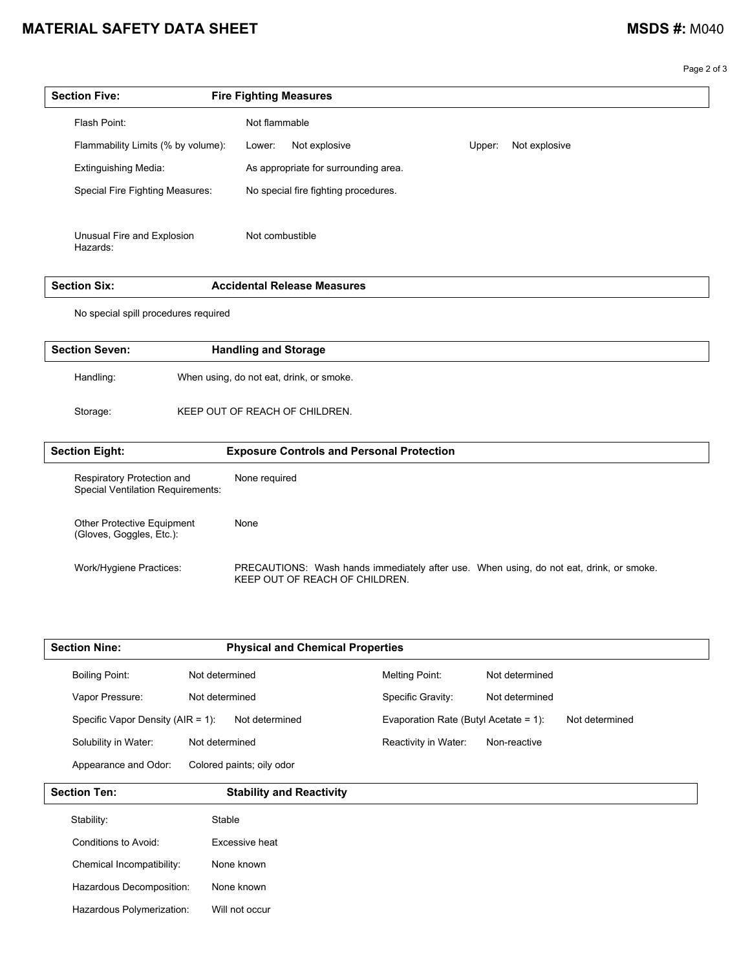# **MATERIAL SAFETY DATA SHEET MATERIAL SAFETY DATA SHEET**

Page 2 of 3

| <b>Section Five:</b>                   | <b>Fire Fighting Measures</b>        |                         |
|----------------------------------------|--------------------------------------|-------------------------|
| Flash Point:                           | Not flammable                        |                         |
| Flammability Limits (% by volume):     | Not explosive<br>Lower:              | Not explosive<br>Upper: |
| <b>Extinguishing Media:</b>            | As appropriate for surrounding area. |                         |
| Special Fire Fighting Measures:        | No special fire fighting procedures. |                         |
|                                        |                                      |                         |
| Unusual Fire and Explosion<br>Hazards: | Not combustible                      |                         |

| <br>ser<br>тілп<br>. גור | Accidents<br>Measures<br>Release<br>.<br>. |
|--------------------------|--------------------------------------------|
|                          |                                            |

No special spill procedures required

(Gloves, Goggles, Etc.):

| <b>Section Seven:</b>                                                  |  | <b>Handling and Storage</b>                      |
|------------------------------------------------------------------------|--|--------------------------------------------------|
| Handling:                                                              |  | When using, do not eat, drink, or smoke.         |
| Storage:                                                               |  | KEEP OUT OF REACH OF CHILDREN.                   |
| <b>Section Eight:</b>                                                  |  | <b>Exposure Controls and Personal Protection</b> |
| Respiratory Protection and<br><b>Special Ventilation Requirements:</b> |  | None required                                    |
| <b>Other Protective Equipment</b>                                      |  | None                                             |

Work/Hygiene Practices: PRECAUTIONS: Wash hands immediately after use. When using, do not eat, drink, or smoke. KEEP OUT OF REACH OF CHILDREN.

| <b>Section Nine:</b>                  | <b>Physical and Chemical Properties</b> |                                                         |
|---------------------------------------|-----------------------------------------|---------------------------------------------------------|
| <b>Boiling Point:</b>                 | Not determined                          | Melting Point:<br>Not determined                        |
| Vapor Pressure:                       | Not determined                          | Specific Gravity:<br>Not determined                     |
| Specific Vapor Density ( $AIR = 1$ ): | Not determined                          | Evaporation Rate (Butyl Acetate = 1):<br>Not determined |
| Solubility in Water:                  | Not determined                          | Reactivity in Water:<br>Non-reactive                    |
| Appearance and Odor:                  | Colored paints; oily odor               |                                                         |

| <b>Section Ten:</b>       | <b>Stability and Reactivity</b> |  |
|---------------------------|---------------------------------|--|
| Stability:                | Stable                          |  |
| Conditions to Avoid:      | Excessive heat                  |  |
| Chemical Incompatibility: | None known                      |  |
| Hazardous Decomposition:  | None known                      |  |
| Hazardous Polymerization: | Will not occur                  |  |